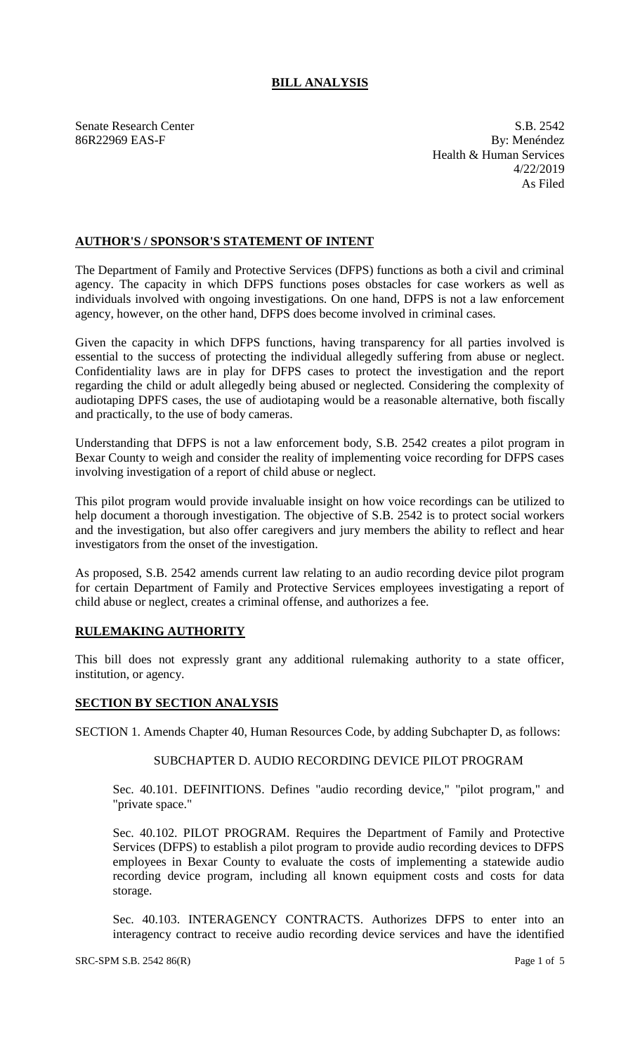# **BILL ANALYSIS**

Senate Research Center S.B. 2542 86R22969 EAS-F By: Menéndez Health & Human Services 4/22/2019 As Filed

## **AUTHOR'S / SPONSOR'S STATEMENT OF INTENT**

The Department of Family and Protective Services (DFPS) functions as both a civil and criminal agency. The capacity in which DFPS functions poses obstacles for case workers as well as individuals involved with ongoing investigations. On one hand, DFPS is not a law enforcement agency, however, on the other hand, DFPS does become involved in criminal cases.

Given the capacity in which DFPS functions, having transparency for all parties involved is essential to the success of protecting the individual allegedly suffering from abuse or neglect. Confidentiality laws are in play for DFPS cases to protect the investigation and the report regarding the child or adult allegedly being abused or neglected. Considering the complexity of audiotaping DPFS cases, the use of audiotaping would be a reasonable alternative, both fiscally and practically, to the use of body cameras.

Understanding that DFPS is not a law enforcement body, S.B. 2542 creates a pilot program in Bexar County to weigh and consider the reality of implementing voice recording for DFPS cases involving investigation of a report of child abuse or neglect.

This pilot program would provide invaluable insight on how voice recordings can be utilized to help document a thorough investigation. The objective of S.B. 2542 is to protect social workers and the investigation, but also offer caregivers and jury members the ability to reflect and hear investigators from the onset of the investigation.

As proposed, S.B. 2542 amends current law relating to an audio recording device pilot program for certain Department of Family and Protective Services employees investigating a report of child abuse or neglect, creates a criminal offense, and authorizes a fee.

## **RULEMAKING AUTHORITY**

This bill does not expressly grant any additional rulemaking authority to a state officer, institution, or agency.

## **SECTION BY SECTION ANALYSIS**

SECTION 1. Amends Chapter 40, Human Resources Code, by adding Subchapter D, as follows:

### SUBCHAPTER D. AUDIO RECORDING DEVICE PILOT PROGRAM

Sec. 40.101. DEFINITIONS. Defines "audio recording device," "pilot program," and "private space."

Sec. 40.102. PILOT PROGRAM. Requires the Department of Family and Protective Services (DFPS) to establish a pilot program to provide audio recording devices to DFPS employees in Bexar County to evaluate the costs of implementing a statewide audio recording device program, including all known equipment costs and costs for data storage.

Sec. 40.103. INTERAGENCY CONTRACTS. Authorizes DFPS to enter into an interagency contract to receive audio recording device services and have the identified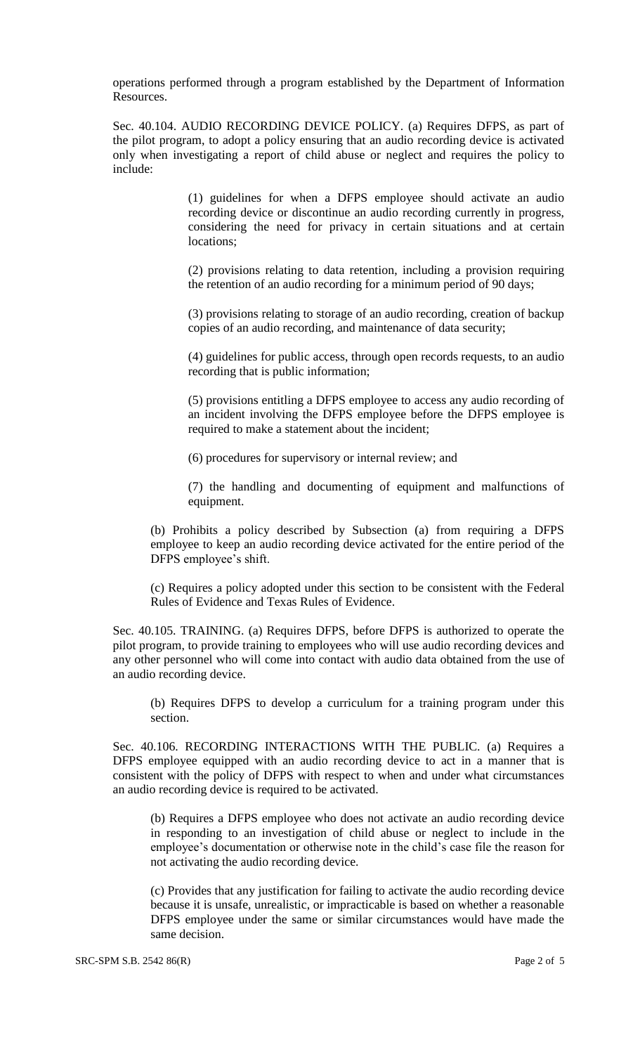operations performed through a program established by the Department of Information Resources.

Sec. 40.104. AUDIO RECORDING DEVICE POLICY. (a) Requires DFPS, as part of the pilot program, to adopt a policy ensuring that an audio recording device is activated only when investigating a report of child abuse or neglect and requires the policy to include:

> (1) guidelines for when a DFPS employee should activate an audio recording device or discontinue an audio recording currently in progress, considering the need for privacy in certain situations and at certain locations;

> (2) provisions relating to data retention, including a provision requiring the retention of an audio recording for a minimum period of 90 days;

> (3) provisions relating to storage of an audio recording, creation of backup copies of an audio recording, and maintenance of data security;

> (4) guidelines for public access, through open records requests, to an audio recording that is public information;

> (5) provisions entitling a DFPS employee to access any audio recording of an incident involving the DFPS employee before the DFPS employee is required to make a statement about the incident;

(6) procedures for supervisory or internal review; and

(7) the handling and documenting of equipment and malfunctions of equipment.

(b) Prohibits a policy described by Subsection (a) from requiring a DFPS employee to keep an audio recording device activated for the entire period of the DFPS employee's shift.

(c) Requires a policy adopted under this section to be consistent with the Federal Rules of Evidence and Texas Rules of Evidence.

Sec. 40.105. TRAINING. (a) Requires DFPS, before DFPS is authorized to operate the pilot program, to provide training to employees who will use audio recording devices and any other personnel who will come into contact with audio data obtained from the use of an audio recording device.

(b) Requires DFPS to develop a curriculum for a training program under this section.

Sec. 40.106. RECORDING INTERACTIONS WITH THE PUBLIC. (a) Requires a DFPS employee equipped with an audio recording device to act in a manner that is consistent with the policy of DFPS with respect to when and under what circumstances an audio recording device is required to be activated.

(b) Requires a DFPS employee who does not activate an audio recording device in responding to an investigation of child abuse or neglect to include in the employee's documentation or otherwise note in the child's case file the reason for not activating the audio recording device.

(c) Provides that any justification for failing to activate the audio recording device because it is unsafe, unrealistic, or impracticable is based on whether a reasonable DFPS employee under the same or similar circumstances would have made the same decision.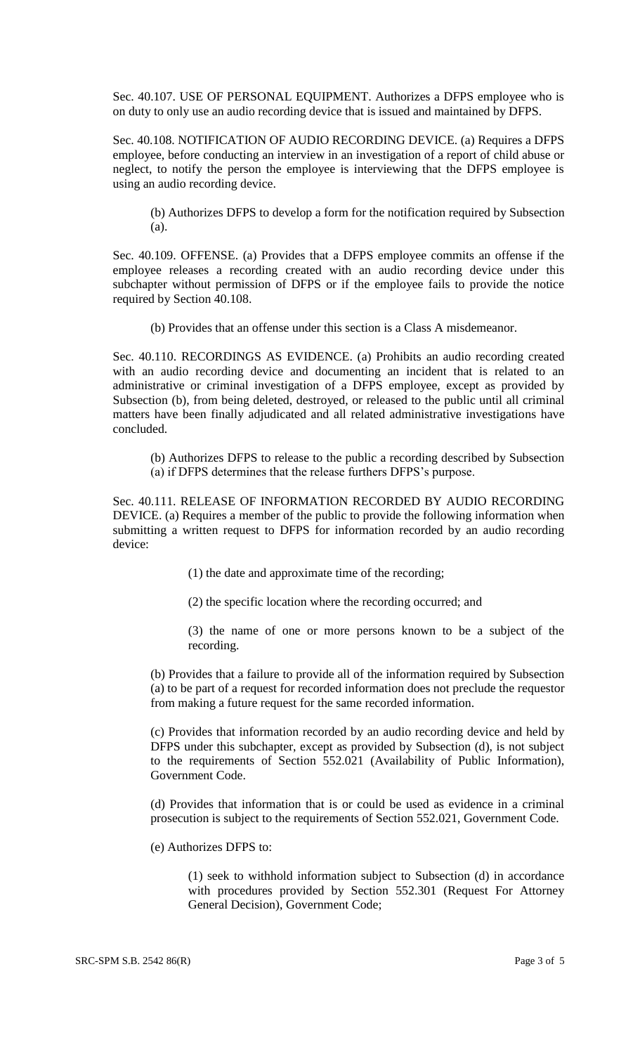Sec. 40.107. USE OF PERSONAL EQUIPMENT. Authorizes a DFPS employee who is on duty to only use an audio recording device that is issued and maintained by DFPS.

Sec. 40.108. NOTIFICATION OF AUDIO RECORDING DEVICE. (a) Requires a DFPS employee, before conducting an interview in an investigation of a report of child abuse or neglect, to notify the person the employee is interviewing that the DFPS employee is using an audio recording device.

(b) Authorizes DFPS to develop a form for the notification required by Subsection (a).

Sec. 40.109. OFFENSE. (a) Provides that a DFPS employee commits an offense if the employee releases a recording created with an audio recording device under this subchapter without permission of DFPS or if the employee fails to provide the notice required by Section 40.108.

(b) Provides that an offense under this section is a Class A misdemeanor.

Sec. 40.110. RECORDINGS AS EVIDENCE. (a) Prohibits an audio recording created with an audio recording device and documenting an incident that is related to an administrative or criminal investigation of a DFPS employee, except as provided by Subsection (b), from being deleted, destroyed, or released to the public until all criminal matters have been finally adjudicated and all related administrative investigations have concluded.

(b) Authorizes DFPS to release to the public a recording described by Subsection (a) if DFPS determines that the release furthers DFPS's purpose.

Sec. 40.111. RELEASE OF INFORMATION RECORDED BY AUDIO RECORDING DEVICE. (a) Requires a member of the public to provide the following information when submitting a written request to DFPS for information recorded by an audio recording device:

(1) the date and approximate time of the recording;

(2) the specific location where the recording occurred; and

(3) the name of one or more persons known to be a subject of the recording.

(b) Provides that a failure to provide all of the information required by Subsection (a) to be part of a request for recorded information does not preclude the requestor from making a future request for the same recorded information.

(c) Provides that information recorded by an audio recording device and held by DFPS under this subchapter, except as provided by Subsection (d), is not subject to the requirements of Section 552.021 (Availability of Public Information), Government Code.

(d) Provides that information that is or could be used as evidence in a criminal prosecution is subject to the requirements of Section 552.021, Government Code.

(e) Authorizes DFPS to:

(1) seek to withhold information subject to Subsection (d) in accordance with procedures provided by Section 552.301 (Request For Attorney General Decision), Government Code;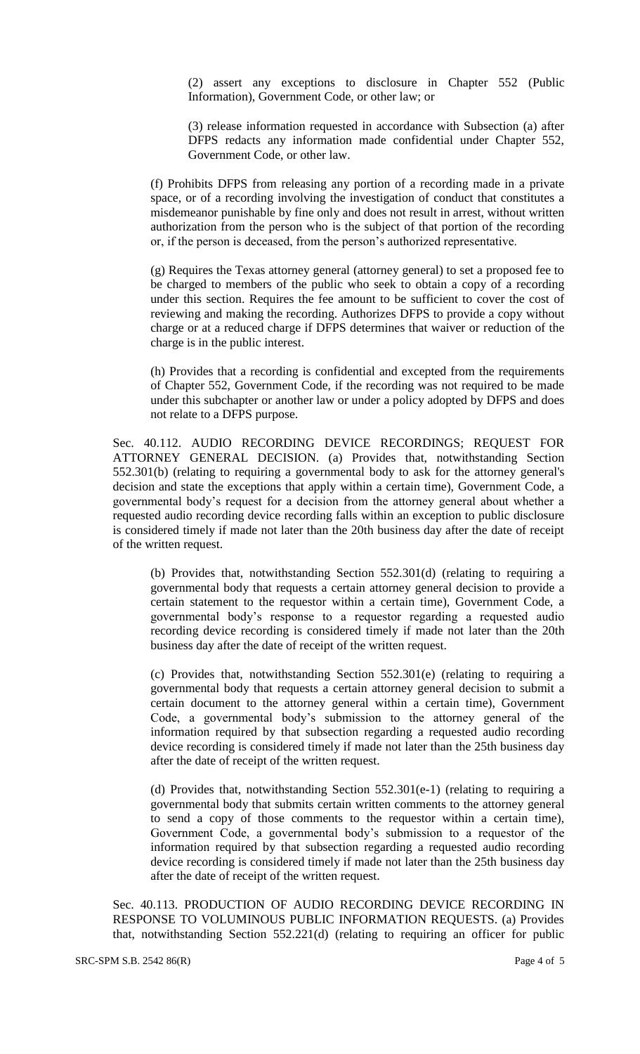(2) assert any exceptions to disclosure in Chapter 552 (Public Information), Government Code, or other law; or

(3) release information requested in accordance with Subsection (a) after DFPS redacts any information made confidential under Chapter 552, Government Code, or other law.

(f) Prohibits DFPS from releasing any portion of a recording made in a private space, or of a recording involving the investigation of conduct that constitutes a misdemeanor punishable by fine only and does not result in arrest, without written authorization from the person who is the subject of that portion of the recording or, if the person is deceased, from the person's authorized representative.

(g) Requires the Texas attorney general (attorney general) to set a proposed fee to be charged to members of the public who seek to obtain a copy of a recording under this section. Requires the fee amount to be sufficient to cover the cost of reviewing and making the recording. Authorizes DFPS to provide a copy without charge or at a reduced charge if DFPS determines that waiver or reduction of the charge is in the public interest.

(h) Provides that a recording is confidential and excepted from the requirements of Chapter 552, Government Code, if the recording was not required to be made under this subchapter or another law or under a policy adopted by DFPS and does not relate to a DFPS purpose.

Sec. 40.112. AUDIO RECORDING DEVICE RECORDINGS; REQUEST FOR ATTORNEY GENERAL DECISION. (a) Provides that, notwithstanding Section 552.301(b) (relating to requiring a governmental body to ask for the attorney general's decision and state the exceptions that apply within a certain time), Government Code, a governmental body's request for a decision from the attorney general about whether a requested audio recording device recording falls within an exception to public disclosure is considered timely if made not later than the 20th business day after the date of receipt of the written request.

(b) Provides that, notwithstanding Section 552.301(d) (relating to requiring a governmental body that requests a certain attorney general decision to provide a certain statement to the requestor within a certain time), Government Code, a governmental body's response to a requestor regarding a requested audio recording device recording is considered timely if made not later than the 20th business day after the date of receipt of the written request.

(c) Provides that, notwithstanding Section 552.301(e) (relating to requiring a governmental body that requests a certain attorney general decision to submit a certain document to the attorney general within a certain time), Government Code, a governmental body's submission to the attorney general of the information required by that subsection regarding a requested audio recording device recording is considered timely if made not later than the 25th business day after the date of receipt of the written request.

(d) Provides that, notwithstanding Section  $552.301(e-1)$  (relating to requiring a governmental body that submits certain written comments to the attorney general to send a copy of those comments to the requestor within a certain time), Government Code, a governmental body's submission to a requestor of the information required by that subsection regarding a requested audio recording device recording is considered timely if made not later than the 25th business day after the date of receipt of the written request.

Sec. 40.113. PRODUCTION OF AUDIO RECORDING DEVICE RECORDING IN RESPONSE TO VOLUMINOUS PUBLIC INFORMATION REQUESTS. (a) Provides that, notwithstanding Section 552.221(d) (relating to requiring an officer for public